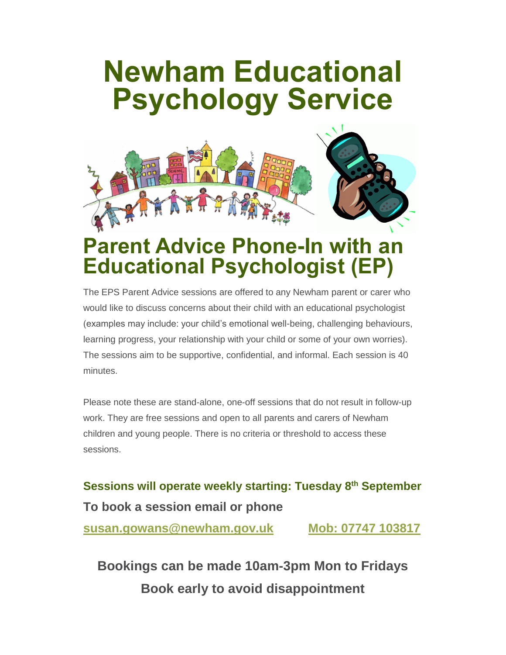## **Newham Educational Psychology Service**



## **Parent Advice Phone-In with an Educational Psychologist (EP)**

The EPS Parent Advice sessions are offered to any Newham parent or carer who would like to discuss concerns about their child with an educational psychologist (examples may include: your child's emotional well-being, challenging behaviours, learning progress, your relationship with your child or some of your own worries). The sessions aim to be supportive, confidential, and informal. Each session is 40 minutes.

Please note these are stand-alone, one-off sessions that do not result in follow-up work. They are free sessions and open to all parents and carers of Newham children and young people. There is no criteria or threshold to access these sessions.

**Sessions will operate weekly starting: Tuesday 8th September To book a session email or phone [susan.gowans@newham.gov.uk](mailto:susan.gowans@newham.gov.uk) Mob: 07747 103817**

**Bookings can be made 10am-3pm Mon to Fridays Book early to avoid disappointment**